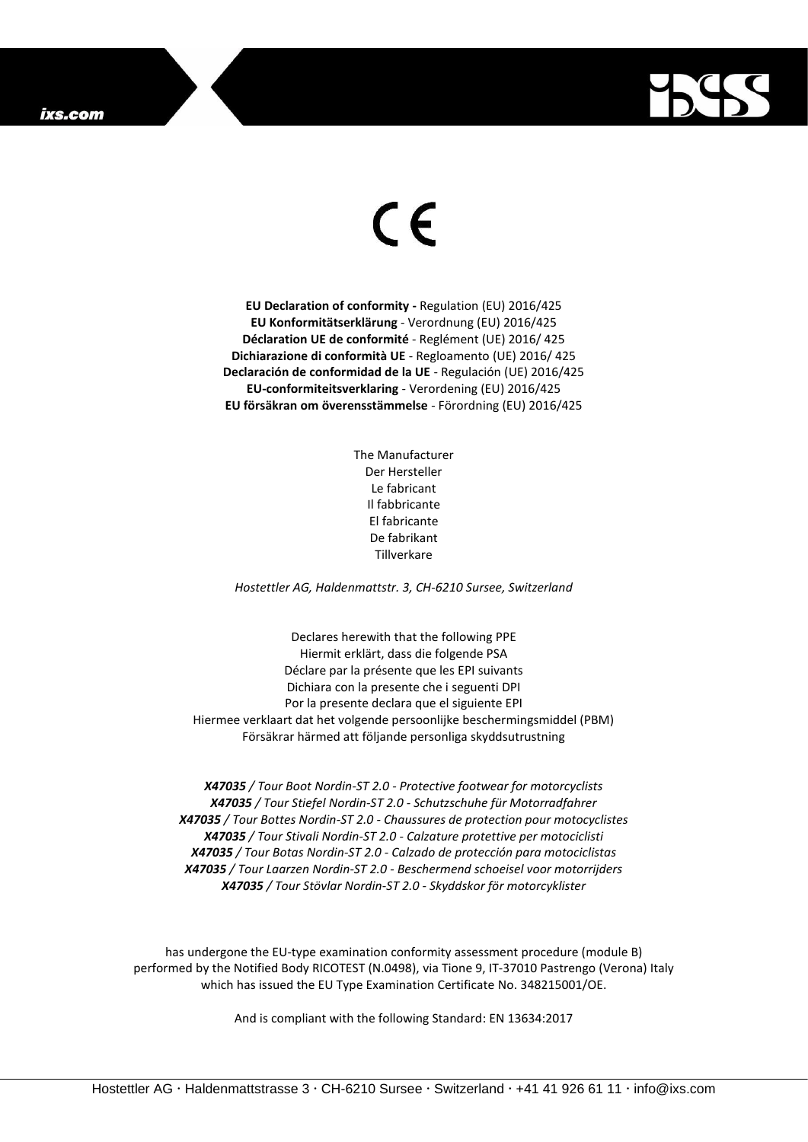## ixs.com



## $\epsilon$

**EU Declaration of conformity -** Regulation (EU) 2016/425 **EU Konformitätserklärung** - Verordnung (EU) 2016/425 **Déclaration UE de conformité** - Reglément (UE) 2016/ 425 **Dichiarazione di conformità UE** - Regloamento (UE) 2016/ 425 **Declaración de conformidad de la UE** - Regulación (UE) 2016/425 **EU-conformiteitsverklaring** - Verordening (EU) 2016/425 **EU försäkran om överensstämmelse** - Förordning (EU) 2016/425

> The Manufacturer Der Hersteller Le fabricant Il fabbricante El fabricante De fabrikant Tillverkare

*Hostettler AG, Haldenmattstr. 3, CH-6210 Sursee, Switzerland*

Declares herewith that the following PPE Hiermit erklärt, dass die folgende PSA Déclare par la présente que les EPI suivants Dichiara con la presente che i seguenti DPI Por la presente declara que el siguiente EPI Hiermee verklaart dat het volgende persoonlijke beschermingsmiddel (PBM) Försäkrar härmed att följande personliga skyddsutrustning

*X47035 / Tour Boot Nordin-ST 2.0 - Protective footwear for motorcyclists X47035 / Tour Stiefel Nordin-ST 2.0 - Schutzschuhe für Motorradfahrer X47035 / Tour Bottes Nordin-ST 2.0 - Chaussures de protection pour motocyclistes X47035 / Tour Stivali Nordin-ST 2.0 - Calzature protettive per motociclisti X47035 / Tour Botas Nordin-ST 2.0 - Calzado de protección para motociclistas X47035 / Tour Laarzen Nordin-ST 2.0 - Beschermend schoeisel voor motorrijders X47035 / Tour Stövlar Nordin-ST 2.0 - Skyddskor för motorcyklister*

has undergone the EU-type examination conformity assessment procedure (module B) performed by the Notified Body RICOTEST (N.0498), via Tione 9, IT-37010 Pastrengo (Verona) Italy which has issued the EU Type Examination Certificate No. 348215001/OE.

And is compliant with the following Standard: EN 13634:2017